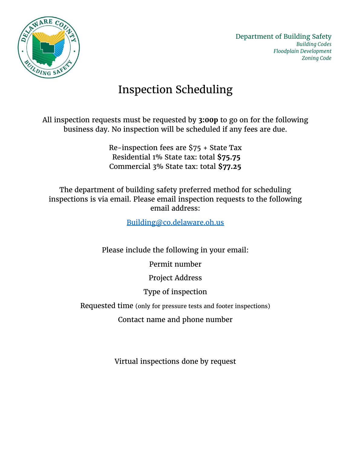

## Inspection Scheduling

All inspection requests must be requested by **3:00p** to go on for the following business day. No inspection will be scheduled if any fees are due.

> Re-inspection fees are \$75 + State Tax Residential 1% State tax: total **\$75.75** Commercial 3% State tax: total **\$77.25**

The department of building safety preferred method for scheduling inspections is via email. Please email inspection requests to the following email address:

[Building@co.delaware.oh.us](mailto:Building@co.delaware.oh.us)

Please include the following in your email:

Permit number

Project Address

Type of inspection

Requested time (only for pressure tests and footer inspections)

Contact name and phone number

Virtual inspections done by request